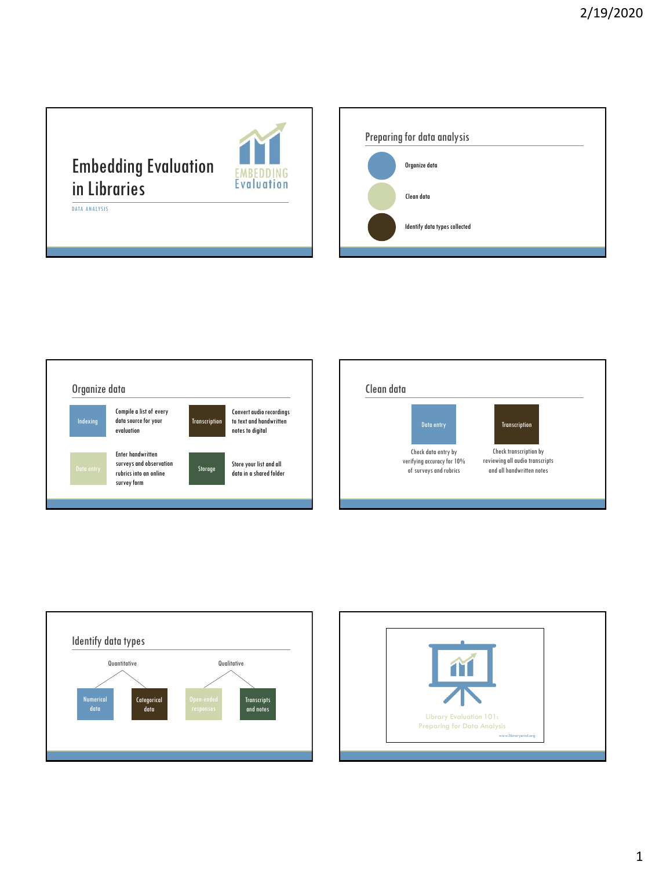## Embedding Evaluation in Libraries

**EMB** 

EDDING **Evaluation** 

DATA ANALYSIS

Preparing for data analysis Organize data Clean data Identify data types collected







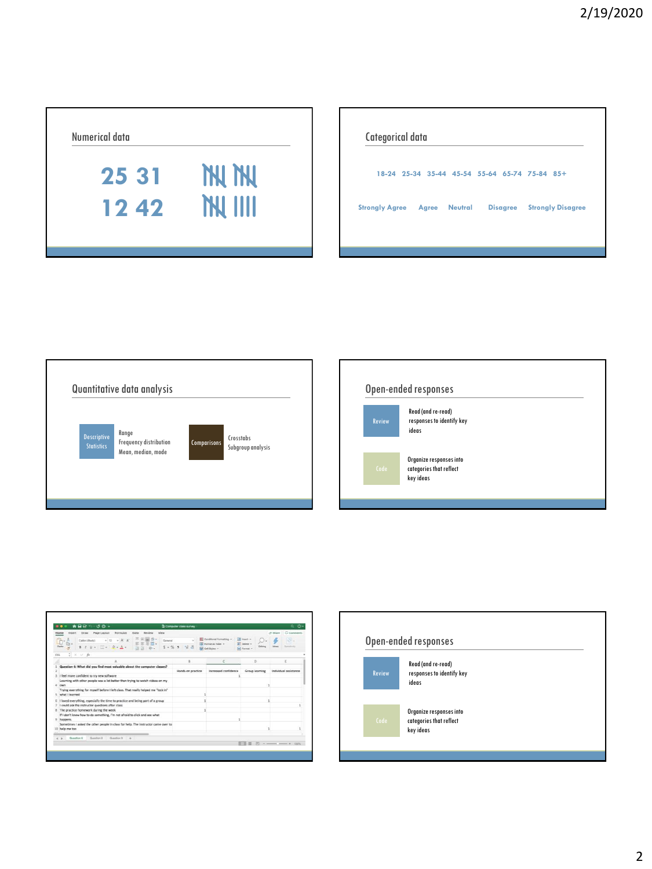

| Categorical data                    |  |                                               |  |  |                                   |  |
|-------------------------------------|--|-----------------------------------------------|--|--|-----------------------------------|--|
|                                     |  | 18-24 25-34 35-44 45-54 55-64 65-74 75-84 85+ |  |  |                                   |  |
| <b>Strongly Agree Agree Neutral</b> |  |                                               |  |  | <b>Disagree</b> Strongly Disagree |  |
|                                     |  |                                               |  |  |                                   |  |







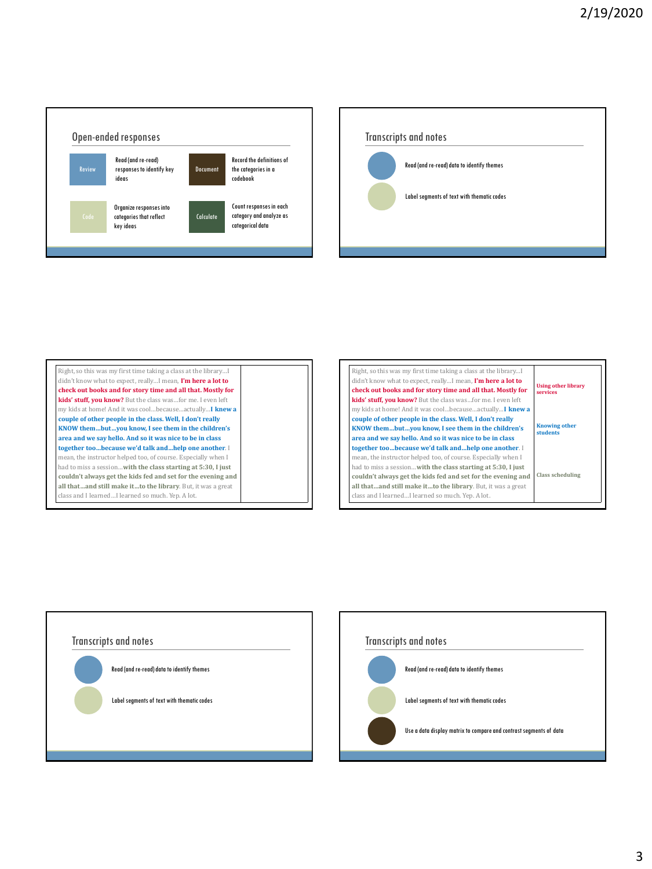

Transcripts and notes Read (and re-read) data to identify themes Label segments of text with thematic codes



| Right, so this was my first time taking a class at the library I |                                         |
|------------------------------------------------------------------|-----------------------------------------|
| didn't know what to expect, reallyI mean, I'm here a lot to      |                                         |
| check out books and for story time and all that. Mostly for      | <b>Using other library</b><br>services  |
| kids' stuff, you know? But the class wasfor me. I even left      |                                         |
| my kids at home! And it was coolbecauseactuallyI knew a          |                                         |
| couple of other people in the class. Well, I don't really        |                                         |
| KNOW thembutyou know, I see them in the children's               | <b>Knowing other</b><br><b>students</b> |
| area and we say hello. And so it was nice to be in class         |                                         |
| together toobecause we'd talk andhelp one another. I             |                                         |
| mean, the instructor helped too, of course. Especially when I    |                                         |
| had to miss a sessionwith the class starting at 5:30, I just     |                                         |
| couldn't always get the kids fed and set for the evening and     | Class scheduling                        |
| all thatand still make itto the library. But, it was a great     |                                         |
| class and I learnedI learned so much. Yep. A lot.                |                                         |